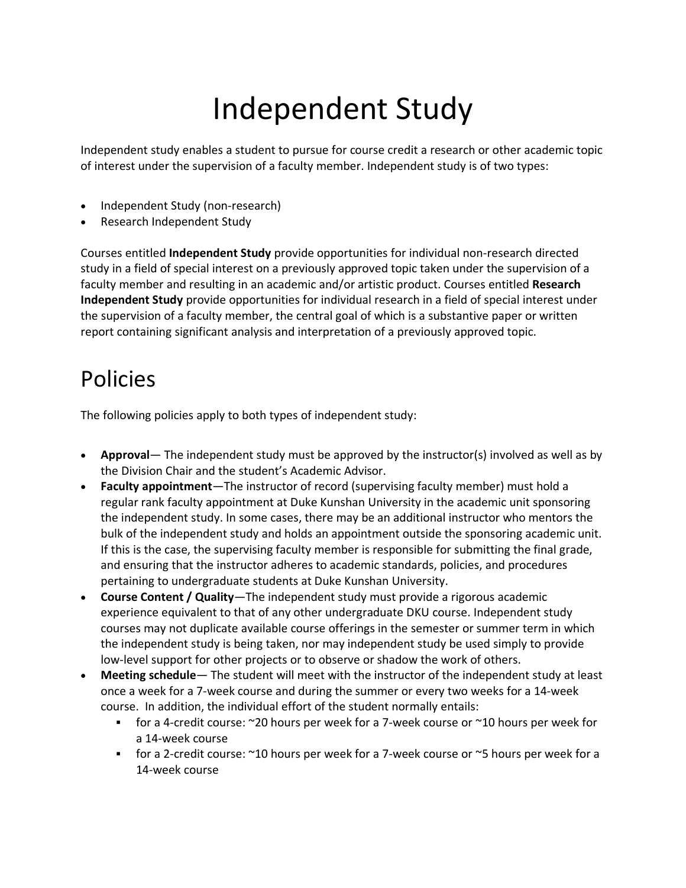# Independent Study

Independent study enables a student to pursue for course credit a research or other academic topic of interest under the supervision of a faculty member. Independent study is of two types:

- Independent Study (non-research)
- Research Independent Study

Courses entitled **Independent Study** provide opportunities for individual non-research directed study in a field of special interest on a previously approved topic taken under the supervision of a faculty member and resulting in an academic and/or artistic product. Courses entitled **Research Independent Study** provide opportunities for individual research in a field of special interest under the supervision of a faculty member, the central goal of which is a substantive paper or written report containing significant analysis and interpretation of a previously approved topic.

# Policies

The following policies apply to both types of independent study:

- **Approval** The independent study must be approved by the instructor(s) involved as well as by the Division Chair and the student's Academic Advisor.
- **Faculty appointment**—The instructor of record (supervising faculty member) must hold a regular rank faculty appointment at Duke Kunshan University in the academic unit sponsoring the independent study. In some cases, there may be an additional instructor who mentors the bulk of the independent study and holds an appointment outside the sponsoring academic unit. If this is the case, the supervising faculty member is responsible for submitting the final grade, and ensuring that the instructor adheres to academic standards, policies, and procedures pertaining to undergraduate students at Duke Kunshan University.
- **Course Content / Quality**—The independent study must provide a rigorous academic experience equivalent to that of any other undergraduate DKU course. Independent study courses may not duplicate available course offerings in the semester or summer term in which the independent study is being taken, nor may independent study be used simply to provide low-level support for other projects or to observe or shadow the work of others.
- **Meeting schedule** The student will meet with the instructor of the independent study at least once a week for a 7-week course and during the summer or every two weeks for a 14-week course. In addition, the individual effort of the student normally entails:
	- § for a 4-credit course: ~20 hours per week for a 7-week course or ~10 hours per week for a 14-week course
	- for a 2-credit course: ~10 hours per week for a 7-week course or ~5 hours per week for a 14-week course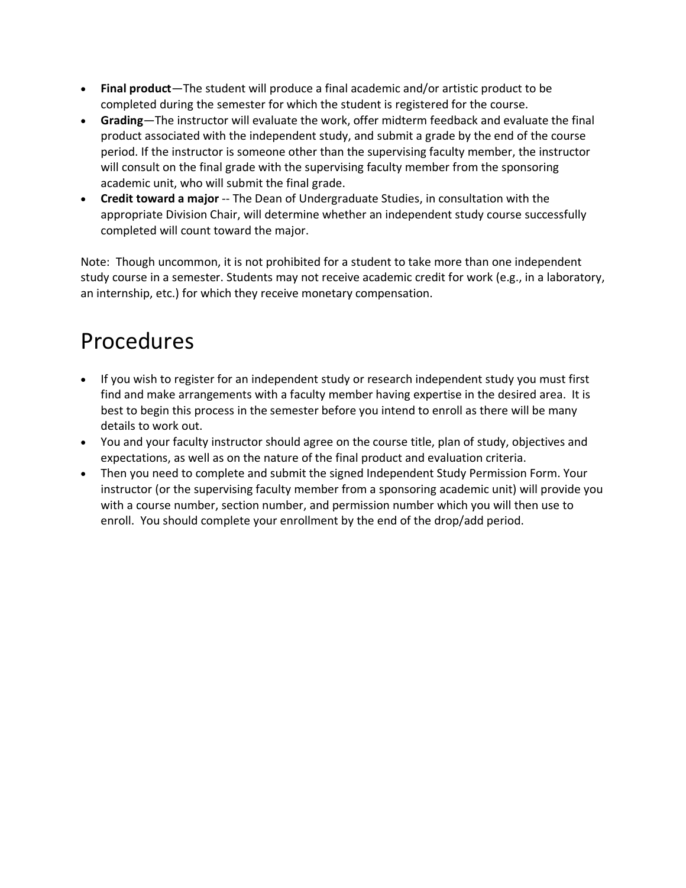- **Final product**—The student will produce a final academic and/or artistic product to be completed during the semester for which the student is registered for the course.
- **Grading**—The instructor will evaluate the work, offer midterm feedback and evaluate the final product associated with the independent study, and submit a grade by the end of the course period. If the instructor is someone other than the supervising faculty member, the instructor will consult on the final grade with the supervising faculty member from the sponsoring academic unit, who will submit the final grade.
- **Credit toward a major** -- The Dean of Undergraduate Studies, in consultation with the appropriate Division Chair, will determine whether an independent study course successfully completed will count toward the major.

Note: Though uncommon, it is not prohibited for a student to take more than one independent study course in a semester. Students may not receive academic credit for work (e.g., in a laboratory, an internship, etc.) for which they receive monetary compensation.

# Procedures

- If you wish to register for an independent study or research independent study you must first find and make arrangements with a faculty member having expertise in the desired area. It is best to begin this process in the semester before you intend to enroll as there will be many details to work out.
- You and your faculty instructor should agree on the course title, plan of study, objectives and expectations, as well as on the nature of the final product and evaluation criteria.
- Then you need to complete and submit the signed Independent Study Permission Form. Your instructor (or the supervising faculty member from a sponsoring academic unit) will provide you with a course number, section number, and permission number which you will then use to enroll. You should complete your enrollment by the end of the drop/add period.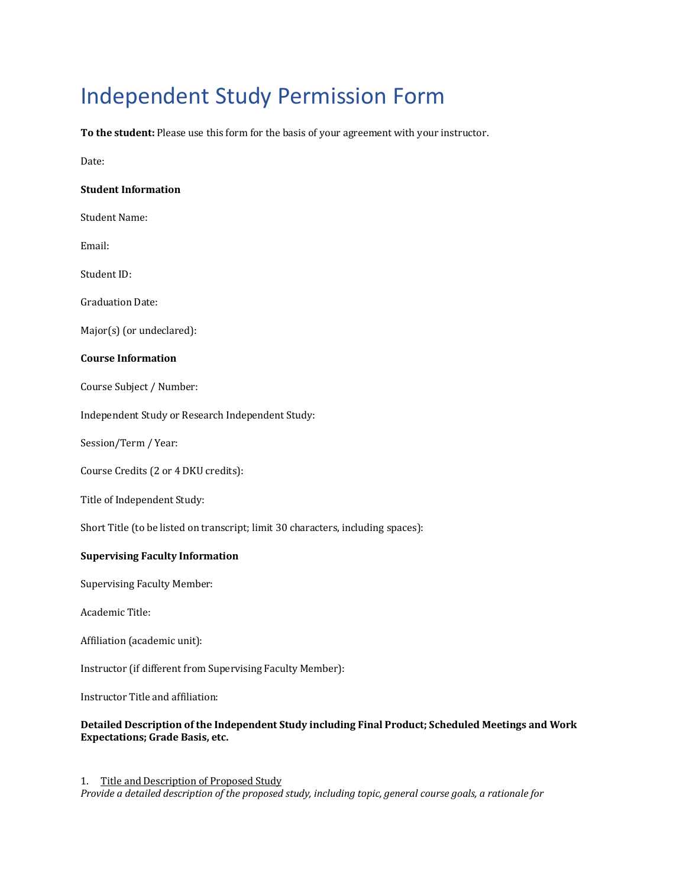# Independent Study Permission Form

To the student: Please use this form for the basis of your agreement with your instructor.

Date:

#### **Student Information**

Student Name:

Email: 

Student ID:

Graduation Date: 

Major(s) (or undeclared):

#### **Course Information**

Course Subject / Number:

Independent Study or Research Independent Study:

Session/Term / Year:

Course Credits (2 or 4 DKU credits):

Title of Independent Study:

Short Title (to be listed on transcript; limit 30 characters, including spaces):

### **Supervising Faculty Information**

Supervising Faculty Member:

Academic Title:

Affiliation (academic unit):

Instructor (if different from Supervising Faculty Member):

Instructor Title and affiliation:

## Detailed Description of the Independent Study including Final Product; Scheduled Meetings and Work **Expectations; Grade Basis, etc.**

1. Title and Description of Proposed Study *Provide a detailed description of the proposed study, including topic, general course goals, a rationale for*